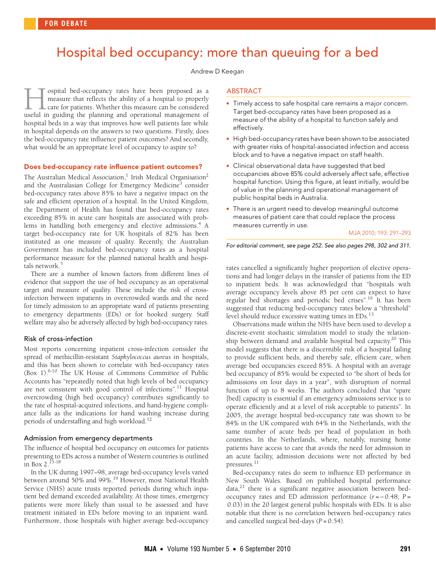# <span id="page-0-0"></span>Hospital bed occupancy: more than queuing for a bed

Andrew D Keegan

ospital bed-occupancy rates have been proposed as a measure that reflects the ability of a hospital to properly care for patients. Whether this measure can be considered I ospital bed-occupancy rates have been proposed as a measure that reflects the ability of a hospital to properly care for patients. Whether this measure can be considered useful in guiding the planning and operational man hospital beds in a way that improves how well patients fare while in hospital depends on the answers to two questions. Firstly, does the bed-occupancy rate influence patient outcomes? And secondly, what would be an appropriate level of occupancy to aspire to?

### Does bed-occupancy rate influence patient outcomes?

The Australian Medical Association,<sup>[1](#page-1-0)</sup> Irish Medical Organisation<sup>[2](#page-1-1)</sup> notianan medical rissoeiation, mish medic and the Australasian College for Emergency Medicine<sup>[3](#page-1-2)</sup> consider bed-occupancy rates above 85% to have a negative impact on the safe and efficient operation of a hospital. In the United Kingdom, the Department of Health has found that bed-occupancy rates exceeding 85% in acute care hospitals are associated with prob-lems in handling both emergency and elective admissions.<sup>[4](#page-1-3)</sup> A target bed-occupancy rate for UK hospitals of 82% has been instituted as one measure of quality. Recently, the Australian Government has included bed-occupancy rates as a hospital performance measure for the planned national health and hospitals network.<sup>5</sup>

There are a number of known factors from different lines of evidence that support the use of bed occupancy as an operational target and measure of quality. These include the risk of crossinfection between inpatients in overcrowded wards and the need for timely admission to an appropriate ward of patients presenting to emergency departments (EDs) or for booked surgery. Staff welfare may also be adversely affected by high bed-occupancy rates.

### Risk of cross-infection

Most reports concerning inpatient cross-infection consider the spread of methicillin-resistant *Staphylococcus aureus* in hospitals, and this has been shown to correlate with bed-occupancy rates ([Box 1\)](#page-1-6).[6-](#page-1-5)[10](#page-2-0) The UK House of Commons Committee of Public Accounts has "repeatedly noted that high levels of bed occupancy are not consistent with good control of infections".<sup>[11](#page-2-1)</sup> Hospital overcrowding (high bed occupancy) contributes significantly to the rate of hospital-acquired infections, and hand-hygiene compliance falls as the indications for hand washing increase during periods of understaffing and high workload.<sup>[12](#page-2-2)</sup>

### Admission from emergency departments

The influence of hospital bed occupancy on outcomes for patients presenting to EDs across a number of Western countries is outlined in [Box 2](#page-1-7)[.13](#page-2-3)[-18](#page-2-4)

In the UK during 1997–98, average bed-occupancy levels varied between around 50% and 99%.[19](#page-2-5) However, most National Health Service (NHS) acute trusts reported periods during which inpatient bed demand exceeded availability. At those times, emergency patients were more likely than usual to be assessed and have treatment initiated in EDs before moving to an inpatient ward. Furthermore, those hospitals with higher average bed-occupancy

### ABSTRACT

- Timely access to safe hospital care remains a major concern. Target bed-occupancy rates have been proposed as a measure of the ability of a hospital to function safely and effectively.
- High bed-occupancy rates have been shown to be associated with greater risks of hospital-associated infection and access block and to have a negative impact on staff health.
- Clinical observational data have suggested that bed occupancies above 85% could adversely affect safe, effective hospital function. Using this figure, at least initially, would be of value in the planning and operational management of public hospital beds in Australia.
- There is an urgent need to develop meaningful outcome measures of patient care that could replace the process measures currently in use.

#### MJA 2010; 193: 291–293

For editorial comment, see page 252. See also pages 298, 302 and 311.

rates cancelled a significantly higher proportion of elective operations and had longer delays in the transfer of patients from the ED to inpatient beds. It was acknowledged that "hospitals with average occupancy levels above 85 per cent can expect to have regular bed shortages and periodic bed crises"[.19](#page-2-5) It has been suggested that reducing bed-occupancy rates below a "threshold" level should reduce excessive waiting times in EDs.<sup>[13](#page-2-3)</sup>

Observations made within the NHS have been used to develop a discrete-event stochastic simulation model to study the relationship between demand and available hospital bed capacity.<sup>20</sup> This model suggests that there is a discernible risk of a hospital failing to provide sufficient beds, and thereby safe, efficient care, when average bed occupancies exceed 85%. A hospital with an average bed occupancy of 85% would be expected to "be short of beds for admissions on four days in a year", with disruption of normal function of up to 8 weeks. The authors concluded that "spare [bed] capacity is essential if an emergency admissions service is to operate efficiently and at a level of risk acceptable to patients". In 2005, the average hospital bed-occupancy rate was shown to be 84% in the UK compared with 64% in the Netherlands, with the same number of acute beds per head of population in both countries. In the Netherlands, where, notably, nursing home patients have access to care that avoids the need for admission in an acute facility, admission decisions were not affected by bed pressures.[11](#page-2-1)

Bed-occupancy rates do seem to influence ED performance in New South Wales. Based on published hospital performance  $data<sub>1</sub><sup>21</sup>$  there is a significant negative association between bedoccupancy rates and ED admission performance (*r* = − 0.48; *P* = 0.03) in the 20 largest general public hospitals with EDs. It is also notable that there is no correlation between bed-occupancy rates and cancelled surgical bed-days (*P* = 0.54).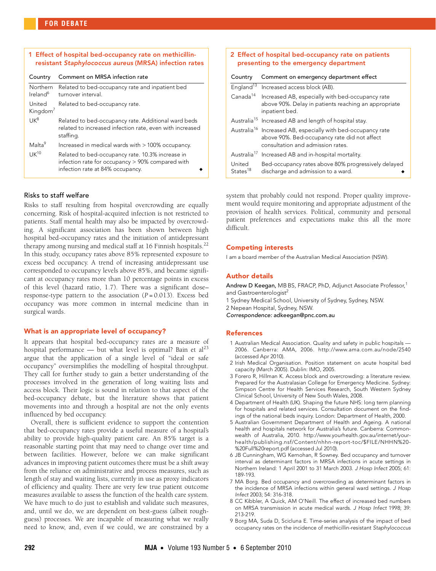<span id="page-1-6"></span>

| 1 Effect of hospital bed-occupancy rate on methicillin-<br>resistant Staphylococcus aureus (MRSA) infection rates |                                                                                                                                             |  |
|-------------------------------------------------------------------------------------------------------------------|---------------------------------------------------------------------------------------------------------------------------------------------|--|
| Country                                                                                                           | Comment on MRSA infection rate                                                                                                              |  |
| <b>Northern</b><br>Ireland <sup>6</sup>                                                                           | Related to bed-occupancy rate and inpatient bed<br>turnover interval.                                                                       |  |
| United<br>Kingdom <sup>/</sup>                                                                                    | Related to bed-occupancy rate.                                                                                                              |  |
| IJK <sup>8</sup>                                                                                                  | Related to bed-occupancy rate. Additional ward beds<br>related to increased infection rate, even with increased<br>staffing.                |  |
| Malta <sup>9</sup>                                                                                                | Increased in medical wards with $>100\%$ occupancy.                                                                                         |  |
| $IJK^{10}$                                                                                                        | Related to bed-occupancy rate. 10.3% increase in<br>infection rate for occupancy $> 90\%$ compared with<br>infection rate at 84% occupancy. |  |

## Risks to staff welfare

Risks to staff resulting from hospital overcrowding are equally concerning. Risk of hospital-acquired infection is not restricted to patients. Staff mental health may also be impacted by overcrowding. A significant association has been shown between high hospital bed-occupancy rates and the initiation of antidepressant therapy among nursing and medical staff at 16 Finnish hospitals.<sup>[22](#page-2-9)</sup> In this study, occupancy rates above 85% represented exposure to excess bed occupancy. A trend of increasing antidepressant use corresponded to occupancy levels above 85%, and became significant at occupancy rates more than 10 percentage points in excess of this level (hazard ratio, 1.7). There was a significant dose– response-type pattern to the association (*P* = 0.013). Excess bed occupancy was more common in internal medicine than in surgical wards.

### What is an appropriate level of occupancy?

It appears that hospital bed-occupancy rates are a measure of hospital performance — but what level is optimal? Bain et  $al<sup>23</sup>$  $al<sup>23</sup>$  $al<sup>23</sup>$ argue that the application of a single level of "ideal or safe occupancy" oversimplifies the modelling of hospital throughput. They call for further study to gain a better understanding of the processes involved in the generation of long waiting lists and access block. Their logic is sound in relation to that aspect of the bed-occupancy debate, but the literature shows that patient movements into and through a hospital are not the only events influenced by bed occupancy.

Overall, there is sufficient evidence to support the contention that bed-occupancy rates provide a useful measure of a hospital's ability to provide high-quality patient care. An 85% target is a reasonable starting point that may need to change over time and between facilities. However, before we can make significant advances in improving patient outcomes there must be a shift away from the reliance on administrative and process measures, such as length of stay and waiting lists, currently in use as proxy indicators of efficiency and quality. There are very few true patient outcome measures available to assess the function of the health care system. We have much to do just to establish and validate such measures, and, until we do, we are dependent on best-guess (albeit roughguess) processes. We are incapable of measuring what we really need to know, and, even if we could, we are constrained by a

<span id="page-1-7"></span>

| 2 Effect of hospital bed-occupancy rate on patients<br>presenting to the emergency department |                                                                                                                                                               |
|-----------------------------------------------------------------------------------------------|---------------------------------------------------------------------------------------------------------------------------------------------------------------|
| Country                                                                                       | Comment on emergency department effect                                                                                                                        |
|                                                                                               | England <sup>13</sup> Increased access block (AB).                                                                                                            |
|                                                                                               | Canada <sup>14</sup> Increased AB, especially with bed-occupancy rate<br>above 90%. Delay in patients reaching an appropriate<br>inpatient bed.               |
|                                                                                               | Australia <sup>15</sup> Increased AB and length of hospital stay.                                                                                             |
|                                                                                               | Australia <sup>16</sup> Increased AB, especially with bed-occupancy rate<br>above 90%. Bed-occupancy rate did not affect<br>consultation and admission rates. |
|                                                                                               | Australia <sup>17</sup> Increased AB and in-hospital mortality.                                                                                               |
| United<br>States <sup>18</sup>                                                                | Bed-occupancy rates above 80% progressively delayed<br>discharge and admission to a ward.                                                                     |

system that probably could not respond. Proper quality improvement would require monitoring and appropriate adjustment of the provision of health services. Political, community and personal patient preferences and expectations make this all the more difficult.

### Competing interests

I am a board member of the Australian Medical Association (NSW).

### Author details

Andrew D Keegan, MB BS, FRACP, PhD, Adjunct Associate Professor,<sup>1</sup> and Gastroenterologist<sup>2</sup>

1 Sydney Medical School, University of Sydney, Sydney, NSW.

2 Nepean Hospital, Sydney, NSW.

Correspondence: adkeegan@pnc.com.au

### References

- <span id="page-1-0"></span>1 Australian Medical Association. Quality and safety in public hospitals — 2006. Canberra: AMA, 2006. http://www.ama.com.au/node/2540 (accessed Apr 2010).
- <span id="page-1-1"></span>2 Irish Medical Organisation. Position statement on acute hospital bed capacity (March 2005). Dublin: IMO, 2005.
- <span id="page-1-2"></span>3 Forero R, Hillman K. Access block and overcrowding: a literature review. Prepared for the Australasian College for Emergency Medicine. Sydney: Simpson Centre for Health Services Research, South Western Sydney Clinical School, University of New South Wales, 2008.
- <span id="page-1-3"></span>4 Department of Health (UK). Shaping the future NHS: long term planning for hospitals and related services. Consultation document on the findings of the national beds inquiry. London: Department of Health, 2000.
- <span id="page-1-4"></span>5 Australian Government Department of Health and Ageing. A national health and hospitals network for Australia's future. Canberra: Commonwealth of Australia, 2010. http://www.yourhealth.gov.au/internet/yourhealth/publishing.nsf/Content/nhhn-report-toc/\$FILE/NHHN%20- %20Full%20report.pdf (accessed Jul 2010).
- <span id="page-1-5"></span>6 JB Cunningham, WG Kernohan, R Sowney. Bed occupancy and turnover interval as determinant factors in MRSA infections in acute settings in Northern Ireland: 1 April 2001 to 31 March 2003. J Hosp Infect 2005; 61: 189-193.
- 7 MA Borg. Bed occupancy and overcrowding as determinant factors in the incidence of MRSA infections within general ward settings. J Hosp Infect 2003; 54: 316-318.
- 8 CC Kibbler, A Quick, AM O'Neill. The effect of increased bed numbers on MRSA transmission in acute medical wards. J Hosp Infect 1998; 39: 213-219.
- 9 Borg MA, Suda D, Scicluna E. Time-series analysis of the impact of bed occupancy rates on the incidence of methicillin-resistant Staphylococcus